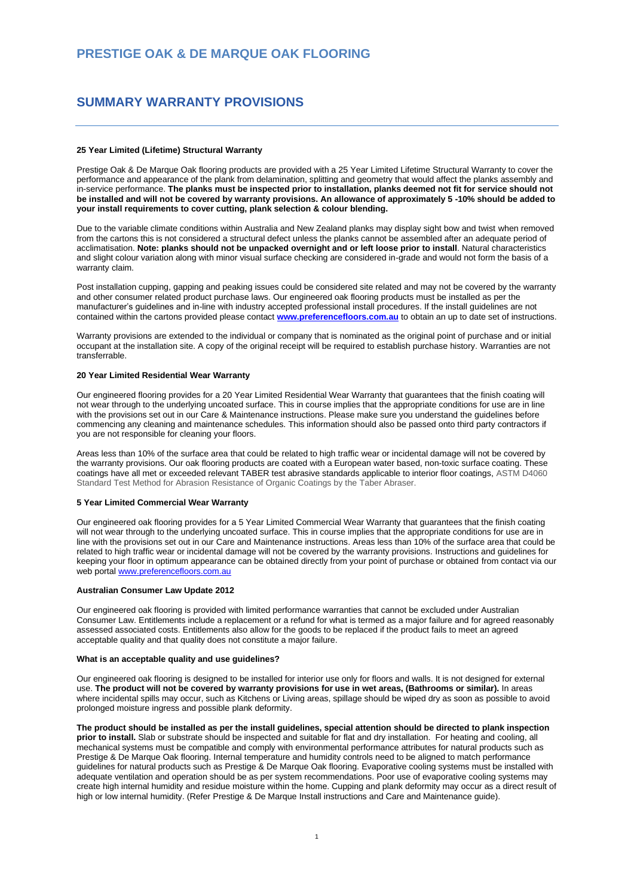# **PRESTIGE OAK & DE MARQUE OAK FLOORING**

# **SUMMARY WARRANTY PROVISIONS**

## **25 Year Limited (Lifetime) Structural Warranty**

Prestige Oak & De Marque Oak flooring products are provided with a 25 Year Limited Lifetime Structural Warranty to cover the performance and appearance of the plank from delamination, splitting and geometry that would affect the planks assembly and in-service performance. **The planks must be inspected prior to installation, planks deemed not fit for service should not be installed and will not be covered by warranty provisions. An allowance of approximately 5 -10% should be added to your install requirements to cover cutting, plank selection & colour blending.**

Due to the variable climate conditions within Australia and New Zealand planks may display sight bow and twist when removed from the cartons this is not considered a structural defect unless the planks cannot be assembled after an adequate period of acclimatisation. **Note: planks should not be unpacked overnight and or left loose prior to install**. Natural characteristics and slight colour variation along with minor visual surface checking are considered in-grade and would not form the basis of a warranty claim.

Post installation cupping, gapping and peaking issues could be considered site related and may not be covered by the warranty and other consumer related product purchase laws. Our engineered oak flooring products must be installed as per the manufacturer's guidelines and in-line with industry accepted professional install procedures. If the install guidelines are not contained within the cartons provided please contact **[www.preferencefloors.com.au](http://www.preferencefloors.com.au/)** to obtain an up to date set of instructions.

Warranty provisions are extended to the individual or company that is nominated as the original point of purchase and or initial occupant at the installation site. A copy of the original receipt will be required to establish purchase history. Warranties are not transferrable.

### **20 Year Limited Residential Wear Warranty**

Our engineered flooring provides for a 20 Year Limited Residential Wear Warranty that guarantees that the finish coating will not wear through to the underlying uncoated surface. This in course implies that the appropriate conditions for use are in line with the provisions set out in our Care & Maintenance instructions. Please make sure you understand the guidelines before commencing any cleaning and maintenance schedules. This information should also be passed onto third party contractors if you are not responsible for cleaning your floors.

Areas less than 10% of the surface area that could be related to high traffic wear or incidental damage will not be covered by the warranty provisions. Our oak flooring products are coated with a European water based, non-toxic surface coating. These coatings have all met or exceeded relevant TABER test abrasive standards applicable to interior floor coatings, ASTM D4060 Standard Test Method for Abrasion Resistance of Organic Coatings by the Taber Abraser.

## **5 Year Limited Commercial Wear Warranty**

Our engineered oak flooring provides for a 5 Year Limited Commercial Wear Warranty that guarantees that the finish coating will not wear through to the underlying uncoated surface. This in course implies that the appropriate conditions for use are in line with the provisions set out in our Care and Maintenance instructions. Areas less than 10% of the surface area that could be related to high traffic wear or incidental damage will not be covered by the warranty provisions. Instructions and guidelines for keeping your floor in optimum appearance can be obtained directly from your point of purchase or obtained from contact via our web portal [www.preferencefloors.com.au](http://www.preferencefloors.com.au/)

#### **Australian Consumer Law Update 2012**

Our engineered oak flooring is provided with limited performance warranties that cannot be excluded under Australian Consumer Law. Entitlements include a replacement or a refund for what is termed as a major failure and for agreed reasonably assessed associated costs. Entitlements also allow for the goods to be replaced if the product fails to meet an agreed acceptable quality and that quality does not constitute a major failure.

### **What is an acceptable quality and use guidelines?**

Our engineered oak flooring is designed to be installed for interior use only for floors and walls. It is not designed for external use. **The product will not be covered by warranty provisions for use in wet areas, (Bathrooms or similar).** In areas where incidental spills may occur, such as Kitchens or Living areas, spillage should be wiped dry as soon as possible to avoid prolonged moisture ingress and possible plank deformity.

**The product should be installed as per the install guidelines, special attention should be directed to plank inspection prior to install.** Slab or substrate should be inspected and suitable for flat and dry installation. For heating and cooling, all mechanical systems must be compatible and comply with environmental performance attributes for natural products such as Prestige & De Marque Oak flooring. Internal temperature and humidity controls need to be aligned to match performance guidelines for natural products such as Prestige & De Marque Oak flooring. Evaporative cooling systems must be installed with adequate ventilation and operation should be as per system recommendations. Poor use of evaporative cooling systems may create high internal humidity and residue moisture within the home. Cupping and plank deformity may occur as a direct result of high or low internal humidity. (Refer Prestige & De Marque Install instructions and Care and Maintenance guide).